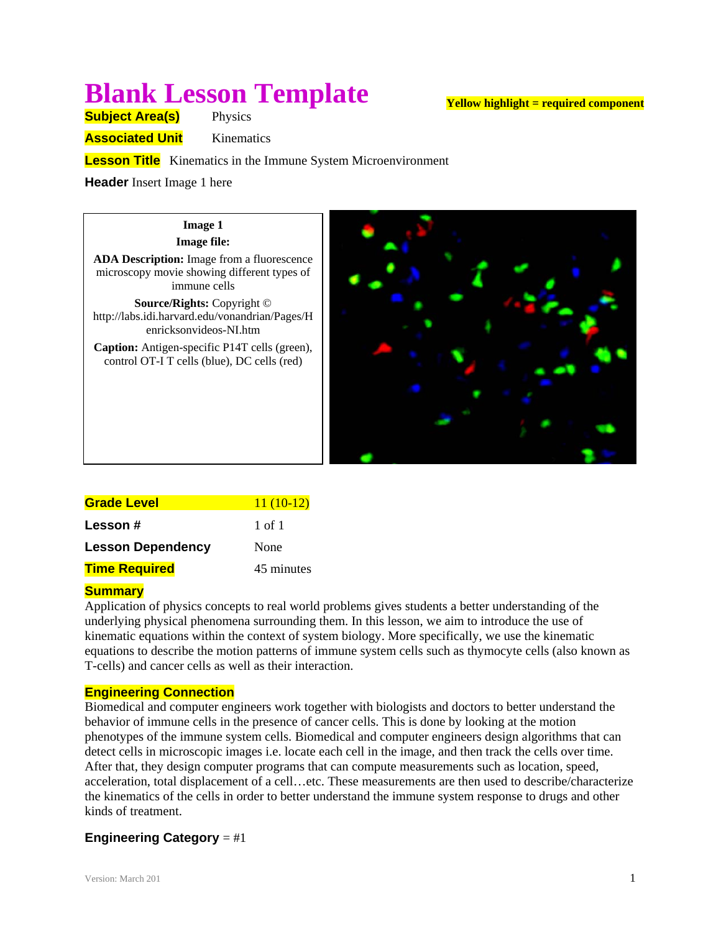# **Blank Lesson Template**

**Yellow highlight = required component**

**Subject Area(s)** Physics

**Associated Unit** Kinematics

**Lesson Title** Kinematics in the Immune System Microenvironment

**Header** Insert Image 1 here

# **Image 1 Image file: ADA Description:** Image from a fluorescence microscopy movie showing different types of immune cells **Source/Rights:** Copyright © http://labs.idi.harvard.edu/vonandrian/Pages/H enricksonvideos-NI.htm **Caption:** Antigen-specific P14T cells (green), control OT-I T cells (blue), DC cells (red)

| Grade Level              | $11(10-12)$ |
|--------------------------|-------------|
| Lesson #                 | 1 of 1      |
| <b>Lesson Dependency</b> | None        |
| <u>Time Required</u>     | 45 minutes  |

# **Summary**

Application of physics concepts to real world problems gives students a better understanding of the underlying physical phenomena surrounding them. In this lesson, we aim to introduce the use of kinematic equations within the context of system biology. More specifically, we use the kinematic equations to describe the motion patterns of immune system cells such as thymocyte cells (also known as T-cells) and cancer cells as well as their interaction.

# **Engineering Connection**

Biomedical and computer engineers work together with biologists and doctors to better understand the behavior of immune cells in the presence of cancer cells. This is done by looking at the motion phenotypes of the immune system cells. Biomedical and computer engineers design algorithms that can detect cells in microscopic images i.e. locate each cell in the image, and then track the cells over time. After that, they design computer programs that can compute measurements such as location, speed, acceleration, total displacement of a cell…etc. These measurements are then used to describe/characterize the kinematics of the cells in order to better understand the immune system response to drugs and other kinds of treatment.

# **Engineering Category** = #1

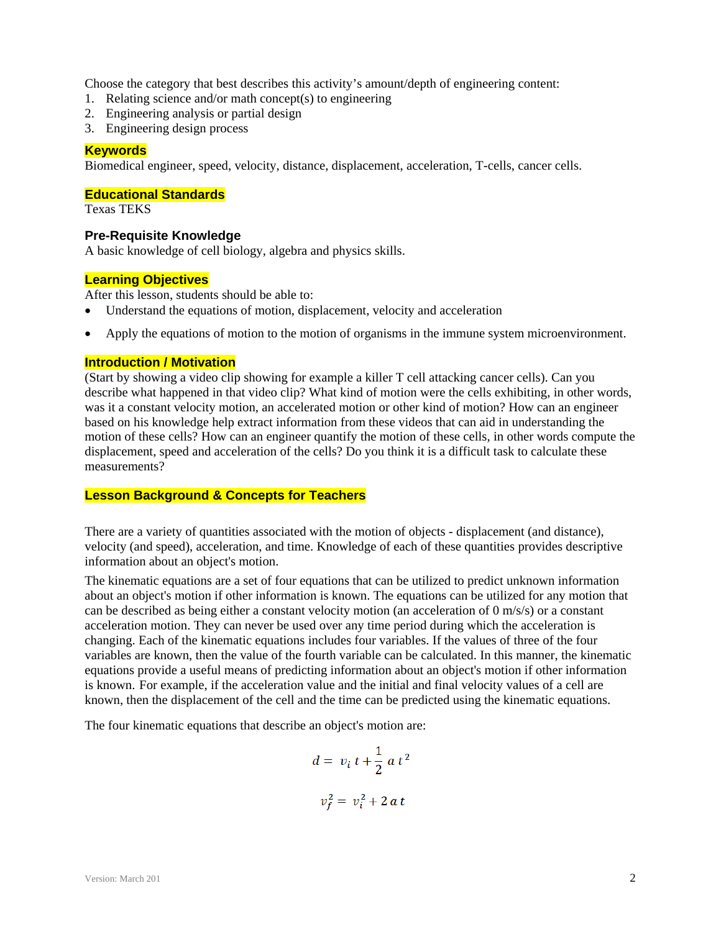Choose the category that best describes this activity's amount/depth of engineering content:

- 1. Relating science and/or math concept(s) to engineering
- 2. Engineering analysis or partial design
- 3. Engineering design process

#### **Keywords**

Biomedical engineer, speed, velocity, distance, displacement, acceleration, T-cells, cancer cells.

# **Educational Standards**

Texas TEKS

#### **Pre-Requisite Knowledge**

A basic knowledge of cell biology, algebra and physics skills.

#### **Learning Objectives**

After this lesson, students should be able to:

- Understand the equations of motion, displacement, velocity and acceleration
- Apply the equations of motion to the motion of organisms in the immune system microenvironment.

# **Introduction / Motivation**

(Start by showing a video clip showing for example a killer T cell attacking cancer cells). Can you describe what happened in that video clip? What kind of motion were the cells exhibiting, in other words, was it a constant velocity motion, an accelerated motion or other kind of motion? How can an engineer based on his knowledge help extract information from these videos that can aid in understanding the motion of these cells? How can an engineer quantify the motion of these cells, in other words compute the displacement, speed and acceleration of the cells? Do you think it is a difficult task to calculate these measurements?

# **Lesson Background & Concepts for Teachers**

There are a variety of quantities associated with the motion of objects - displacement (and distance), velocity (and speed), acceleration, and time. Knowledge of each of these quantities provides descriptive information about an object's motion.

The kinematic equations are a set of four equations that can be utilized to predict unknown information about an object's motion if other information is known. The equations can be utilized for any motion that can be described as being either a constant velocity motion (an acceleration of 0 m/s/s) or a constant acceleration motion. They can never be used over any time period during which the acceleration is changing. Each of the kinematic equations includes four variables. If the values of three of the four variables are known, then the value of the fourth variable can be calculated. In this manner, the kinematic equations provide a useful means of predicting information about an object's motion if other information is known. For example, if the acceleration value and the initial and final velocity values of a cell are known, then the displacement of the cell and the time can be predicted using the kinematic equations.

The four kinematic equations that describe an object's motion are:

$$
d = v_i t + \frac{1}{2} a t^2
$$
  

$$
v_f^2 = v_i^2 + 2 a t
$$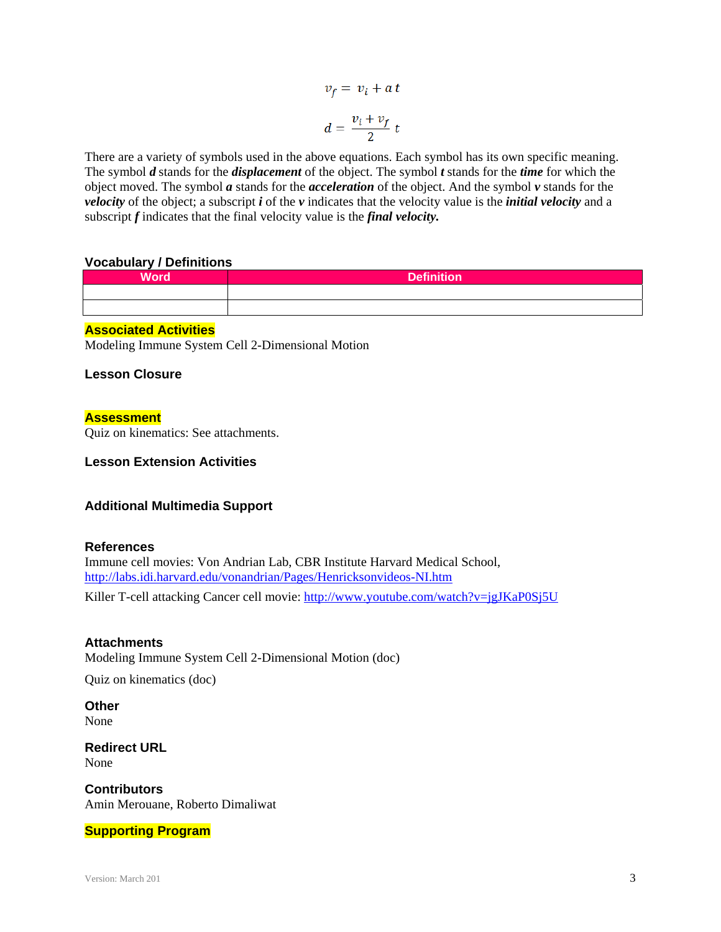$$
v_f = v_i + a t
$$

$$
d = \frac{v_i + v_f}{2} t
$$

There are a variety of symbols used in the above equations. Each symbol has its own specific meaning. The symbol *d* stands for the *displacement* of the object. The symbol *t* stands for the *time* for which the object moved. The symbol *a* stands for the *acceleration* of the object. And the symbol *v* stands for the *velocity* of the object; a subscript *i* of the *v* indicates that the velocity value is the *initial velocity* and a subscript *f* indicates that the final velocity value is the *final velocity.*

#### **Vocabulary / Definitions**

| <b>Word</b> | Definition |
|-------------|------------|
|             |            |
|             |            |

# **Associated Activities**

Modeling Immune System Cell 2-Dimensional Motion

#### **Lesson Closure**

#### **Assessment**

Quiz on kinematics: See attachments.

**Lesson Extension Activities**

#### **Additional Multimedia Support**

#### **References**

Immune cell movies: Von Andrian Lab, CBR Institute Harvard Medical School, http://labs.idi.harvard.edu/vonandrian/Pages/Henricksonvideos-NI.htm

Killer T-cell attacking Cancer cell movie: http://www.youtube.com/watch?v=jgJKaP0Sj5U

#### **Attachments**

Modeling Immune System Cell 2-Dimensional Motion (doc)

Quiz on kinematics (doc)

**Other**  None

**Redirect URL**  None

**Contributors** Amin Merouane, Roberto Dimaliwat

#### **Supporting Program**